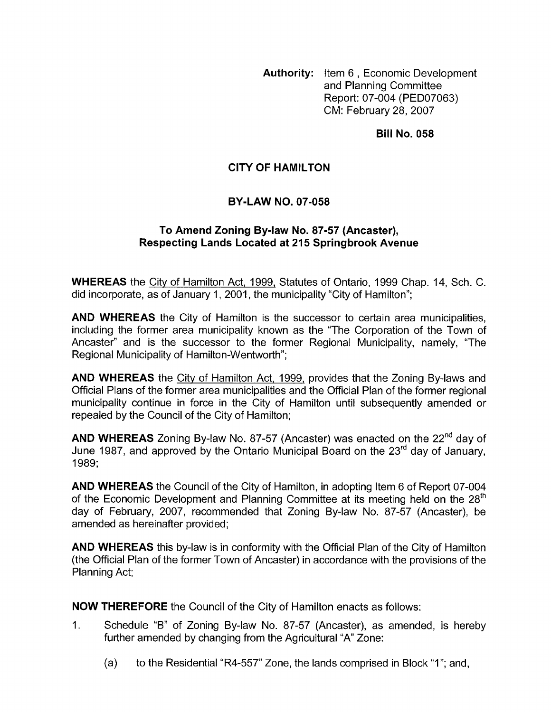**Authority:** Item 6, Economic Development and Planning Committee Report: 07-004 (PED07063) CM: February 28,2007

**Bill No. 058** 

# **CITY OF HAMILTON**

## **BY-LAW NO. 07-058**

#### **To Amend Zoning By-law No. 87-57 (Ancaster), Respecting Lands Located at 215 Springbrook Avenue**

**WHEREAS** the City of Hamilton Act, 1999, Statutes of Ontario, 1999 Chap. 14, Sch. C. did incorporate, as of January 1, 2001, the municipality "City of Hamilton";

**AND WHEREAS** the City of Hamilton is the successor to certain area municipalities, including the former area municipality known as the "The Corporation of the Town of Ancaster" and is the successor to the former Regional Municipality, namely, "The Regional Municipality of Hamilton-Wentworth";

**AND WHEREAS** the City of Hamilton Act, 1999, provides that the Zoning By-laws and Official Plans of the former area municipalities and the Official Plan of the former regional municipality continue in force in the City of Hamilton until subsequently amended or repealed by the Council of the City of Hamilton;

**AND WHEREAS** Zoning By-law No. 87-57 (Ancaster) was enacted on the 22<sup>nd</sup> day of June 1987, and approved by the Ontario Municipal Board on the 23<sup>rd</sup> day of January. 1989;

**AND WHEREAS** the Council of the City of Hamilton, in adopting Item 6 of Report 07-004 of the Economic Development and Planning Committee at its meeting held on the 28<sup>th</sup> day of February, 2007, recommended that Zoning By-law No. 87-57 (Ancaster), be amended as hereinafter provided;

**AND WHEREAS** this by-law is in conformity with the Official Plan of the City of Hamilton (the Official Plan of the former Town of Ancaster) in accordance with the provisions of the Planning Act;

**NOW THEREFORE** the Council of the City of Hamilton enacts as follows:

- 1. Schedule "B" of Zoning By-law No. 87-57 (Ancaster), as amended, is hereby further amended by changing from the Agricultural "A" Zone:
	- (a) to the Residential "R4-557" Zone, the lands comprised in Block "1"; and,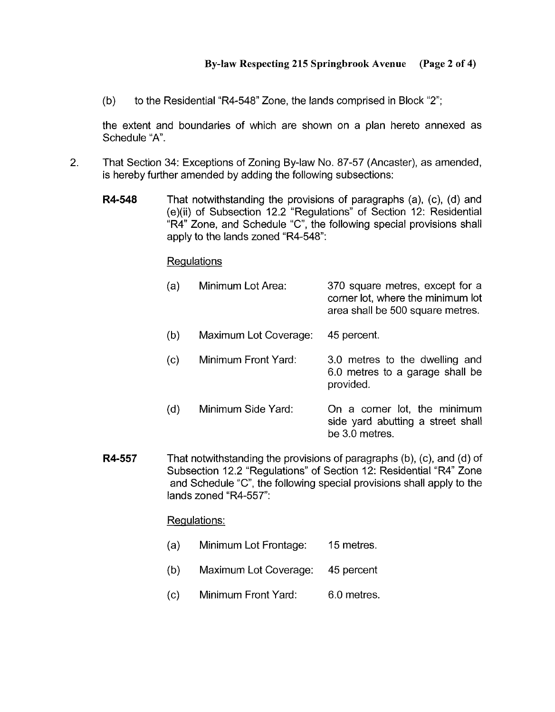(b) to the Residential "R4-548" Zone, the lands comprised in Block "2";

the extent and boundaries of which are shown on a plan hereto annexed as Schedule "A".

- 2. That Section 34: Exceptions of Zoning By-law No. 87-57 (Ancaster), as amended, is hereby further amended by adding the following subsections:
	- **R4-548** That notwithstanding the provisions of paragraphs (a), (c), (d) and (e)(ii) of Subsection 12.2 "Regulations" of Section 12: Residential "R4" Zone, and Schedule "C", the following special provisions shall apply to the lands zoned "R4-548":

## Requlations

| (a) | Minimum Lot Area:     | 370 square metres, except for a<br>corner lot, where the minimum lot<br>area shall be 500 square metres. |
|-----|-----------------------|----------------------------------------------------------------------------------------------------------|
| (b) | Maximum Lot Coverage: | 45 percent.                                                                                              |
| (c) | Minimum Front Yard:   | 3.0 metres to the dwelling and<br>6.0 metres to a garage shall be<br>provided.                           |
| (d) | Minimum Side Yard:    | On a corner lot, the minimum<br>side yard abutting a street shall<br>be 3.0 metres.                      |

**R4-557** That notwithstanding the provisions of paragraphs (b), (c), and (d) of Subsection 12.2 "Regulations" of Section 12: Residential "R4" Zone and Schedule "C", the following special provisions shall apply to the lands zoned "R4-557":

## Regulations:

- (a) Minimum Lot Frontage: 15 metres.
- (b) Maximum Lot Coverage: 45 percent
- (c) Minimum Front Yard: 6.0 metres.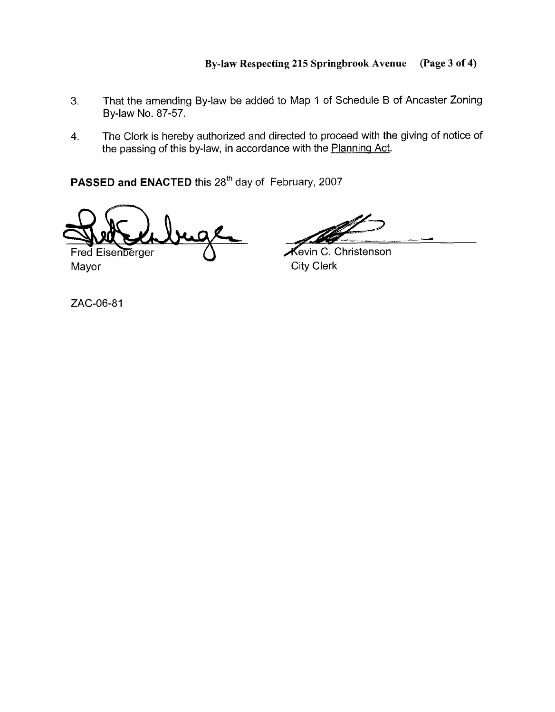- **3.** That the amending By-law be added to Map 1 of Schedule B of Ancaster Zoning By-law No. 87-57.
- 4. The Clerk is hereby authorized and directed to proceed with the giving of notice of the passing of this by-law, in accordance with the Planning Act.

PASSED and ENACTED this 28<sup>th</sup> day of February, 2007

Fred Eisenberger

Mayor City Clerk

Kevin C. Christenson

ZAC-06-81